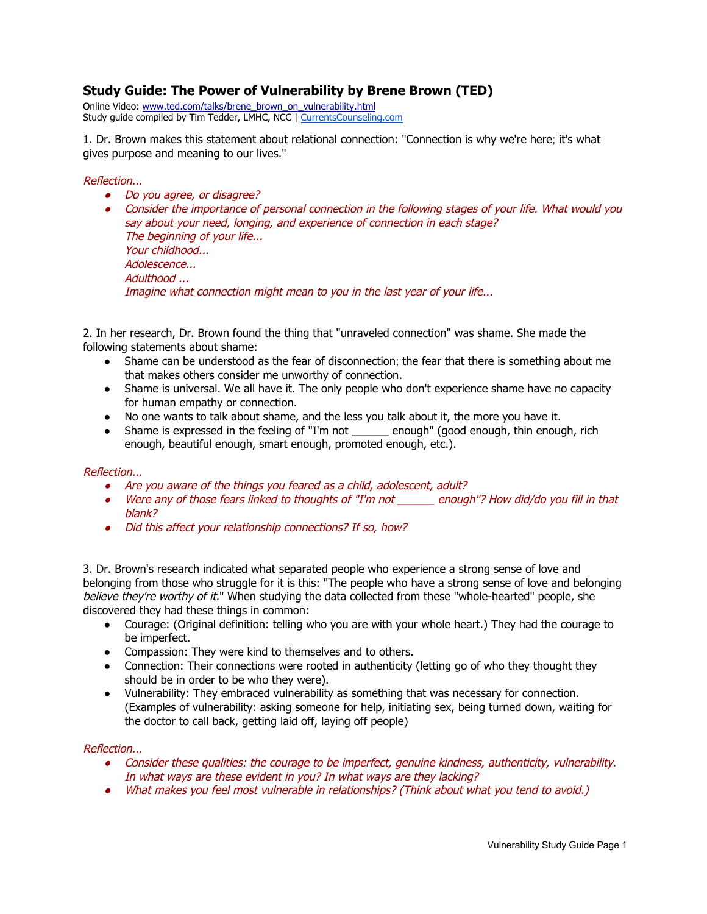# **Study Guide: The Power of Vulnerability by Brene Brown (TED)**

Online Video: [www.ted.com/talks/brene\\_brown\\_on\\_vulnerability.html](http://www.google.com/url?q=http%3A%2F%2Fwww.ted.com%2Ftalks%2Fbrene_brown_on_vulnerability.html&sa=D&sntz=1&usg=AFQjCNFmnehzQQB-CcujNfdM4xog00rTVA) Study guide compiled by Tim Tedder, LMHC, NCC | [CurrentsCounseling.com](http://www.google.com/url?q=http%3A%2F%2Fwww.currentscounseling.com&sa=D&sntz=1&usg=AFQjCNHjTG5Orx3oY8ayaD28XUdidZ4DwQ)

1. Dr. Brown makes this statement about relational connection: "Connection is why we're here; it's what gives purpose and meaning to our lives."

## Reflection...

- Do you agree, or disagree?
- Consider the importance of personal connection in the following stages of your life. What would you say about your need, longing, and experience of connection in each stage? The beginning of your life... Your childhood... Adolescence... Adulthood ... Imagine what connection might mean to you in the last year of your life...

2. In her research, Dr. Brown found the thing that "unraveled connection" was shame. She made the following statements about shame:

- Shame can be understood as the fear of disconnection; the fear that there is something about me that makes others consider me unworthy of connection.
- Shame is universal. We all have it. The only people who don't experience shame have no capacity for human empathy or connection.
- No one wants to talk about shame, and the less you talk about it, the more you have it.
- Shame is expressed in the feeling of "I'm not \_\_\_\_\_\_\_ enough" (good enough, thin enough, rich enough, beautiful enough, smart enough, promoted enough, etc.).

#### Reflection...

- Are you aware of the things you feared as <sup>a</sup> child, adolescent, adult?
- Were any of those fears linked to thoughts of "I'm not \_\_\_\_\_\_ enough"? How did/do you fill in that blank?
- Did this affect your relationship connections? If so, how?

3. Dr. Brown's research indicated what separated people who experience a strong sense of love and belonging from those who struggle for it is this: "The people who have a strong sense of love and belonging believe they're worthy of it." When studying the data collected from these "whole-hearted" people, she discovered they had these things in common:

- Courage: (Original definition: telling who you are with your whole heart.) They had the courage to be imperfect.
- Compassion: They were kind to themselves and to others.
- Connection: Their connections were rooted in authenticity (letting go of who they thought they should be in order to be who they were).
- Vulnerability: They embraced vulnerability as something that was necessary for connection. (Examples of vulnerability: asking someone for help, initiating sex, being turned down, waiting for the doctor to call back, getting laid off, laying off people)

#### Reflection...

- Consider these qualities: the courage to be imperfect, genuine kindness, authenticity, vulnerability. In what ways are these evident in you? In what ways are they lacking?
- What makes you feel most vulnerable in relationships? (Think about what you tend to avoid.)